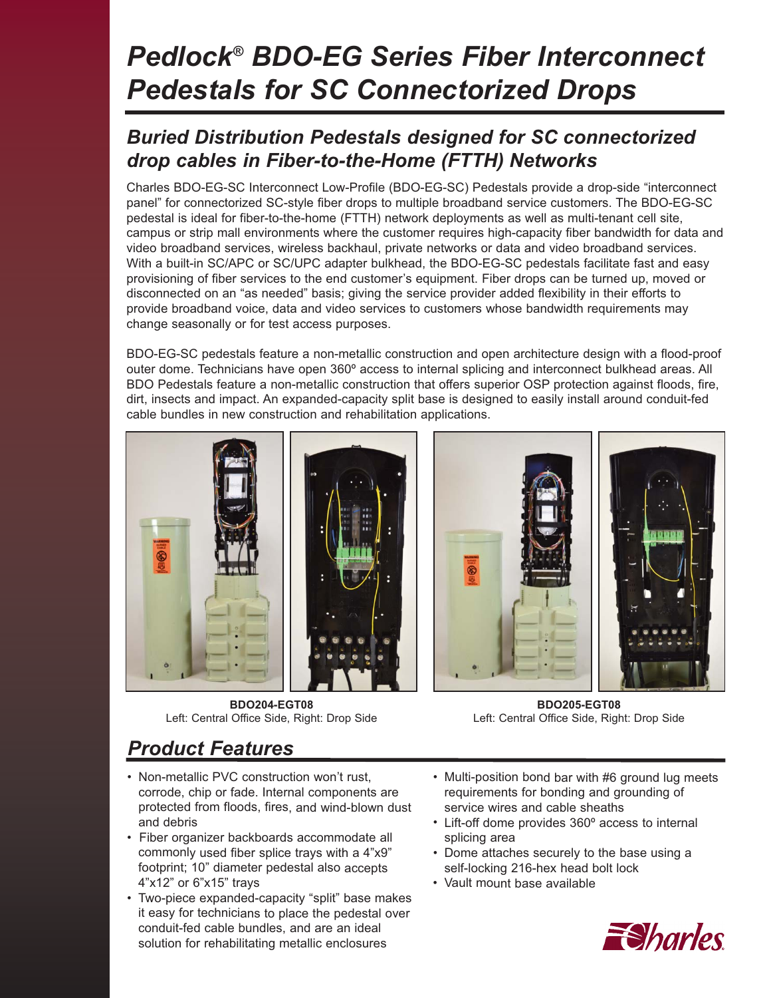# *Pedlock® BDO-EG Series Fiber Interconnect Pedestals for SC Connectorized Drops*

### *Buried Distribution Pedestals designed for SC connectorized drop cables in Fiber-to-the-Home (FTTH) Networks*

Charles BDO-EG-SC Interconnect Low-Profile (BDO-EG-SC) Pedestals provide a drop-side "interconnect panel" for connectorized SC-style fiber drops to multiple broadband service customers. The BDO-EG-SC pedestal is ideal for fiber-to-the-home (FTTH) network deployments as well as multi-tenant cell site, campus or strip mall environments where the customer requires high-capacity fiber bandwidth for data and video broadband services, wireless backhaul, private networks or data and video broadband services. With a built-in SC/APC or SC/UPC adapter bulkhead, the BDO-EG-SC pedestals facilitate fast and easy provisioning of fiber services to the end customer's equipment. Fiber drops can be turned up, moved or disconnected on an "as needed" basis; giving the service provider added flexibility in their efforts to provide broadband voice, data and video services to customers whose bandwidth requirements may change seasonally or for test access purposes.

BDO-EG-SC pedestals feature a non-metallic construction and open architecture design with a flood-proof outer dome. Technicians have open 360º access to internal splicing and interconnect bulkhead areas. All BDO Pedestals feature a non-metallic construction that offers superior OSP protection against floods, fire, dirt, insects and impact. An expanded-capacity split base is designed to easily install around conduit-fed cable bundles in new construction and rehabilitation applications.





**BDO204-EGT08** Left: Central Office Side, Right: Drop Side

**BDO205-EGT08** Left: Central Office Side, Right: Drop Side

## *Product Features*

- Non-metallic PVC construction won't rust, corrode, chip or fade. Internal components are protected from floods, fires, and wind-blown dust and debris
- Fiber organizer backboards accommodate all commonly used fiber splice trays with a 4"x9" footprint; 10" diameter pedestal also accepts 4"x12" or 6"x15" trays
- Two-piece expanded-capacity "split" base makes it easy for technicians to place the pedestal over conduit-fed cable bundles, and are an ideal solution for rehabilitating metallic enclosures
- Multi-position bond bar with #6 ground lug meets requirements for bonding and grounding of service wires and cable sheaths
- Lift-off dome provides 360º access to internal splicing area
- Dome attaches securely to the base using a self-locking 216-hex head bolt lock
- Vault mount base available